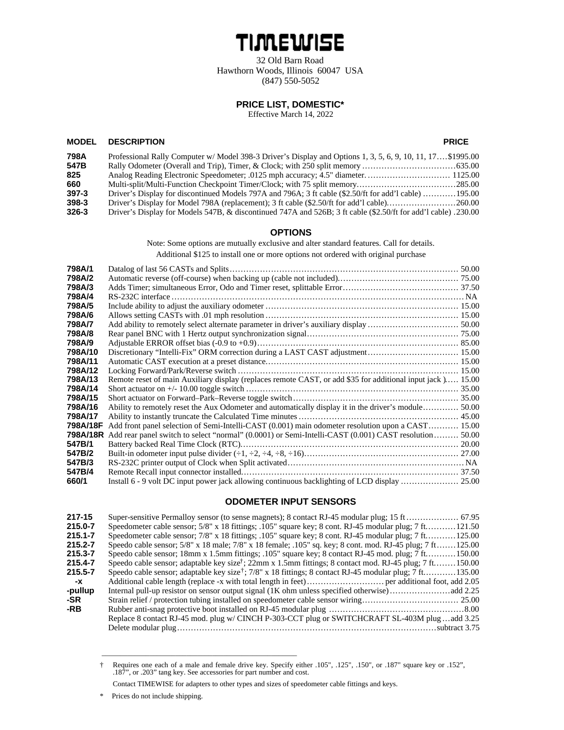# TIMEWISE

32 Old Barn Road Hawthorn Woods, Illinois 60047 USA (847) 550-5052

### **PRICE LIST, DOMESTIC\***

Effective March 14, 2022

#### **MODEL DESCRIPTION PRICE**

| 798A      | Professional Rally Computer w/Model 398-3 Driver's Display and Options 1, 3, 5, 6, 9, 10, 11, 17, \$1995.00    |  |
|-----------|----------------------------------------------------------------------------------------------------------------|--|
| 547B      |                                                                                                                |  |
| 825       | Analog Reading Electronic Speedometer; .0125 mph accuracy; 4.5" diameter 1125.00                               |  |
| 660       |                                                                                                                |  |
| $397 - 3$ | Driver's Display for discontinued Models 797A and 796A; 3 ft cable (\$2.50/ft for add'l cable) 195.00          |  |
| $398-3$   |                                                                                                                |  |
| $326 - 3$ | Driver's Display for Models 547B, & discontinued 747A and 526B; 3 ft cable (\$2.50/ft for add'l cable) .230.00 |  |

#### **OPTIONS**

Note: Some options are mutually exclusive and alter standard features. Call for details. Additional \$125 to install one or more options not ordered with original purchase

| 798A/1   | Datalog of last 56 CASTs and Splits.                                                                       |         |
|----------|------------------------------------------------------------------------------------------------------------|---------|
|          |                                                                                                            |         |
| 798A/2   |                                                                                                            |         |
| 798A/3   |                                                                                                            |         |
| 798A/4   |                                                                                                            |         |
| 798A/5   |                                                                                                            |         |
| 798A/6   |                                                                                                            |         |
| 798A/7   |                                                                                                            |         |
| 798A/8   |                                                                                                            |         |
| 798A/9   |                                                                                                            |         |
| 798A/10  |                                                                                                            |         |
| 798A/11  |                                                                                                            |         |
| 798A/12  |                                                                                                            | . 15.00 |
| 798A/13  | Remote reset of main Auxiliary display (replaces remote CAST, or add \$35 for additional input jack) 15.00 |         |
| 798A/14  |                                                                                                            |         |
| 798A/15  |                                                                                                            |         |
| 798A/16  | Ability to remotely reset the Aux Odometer and automatically display it in the driver's module 50.00       |         |
| 798A/17  |                                                                                                            |         |
| 798A/18F | Add front panel selection of Semi-Intelli-CAST (0.001) main odometer resolution upon a CAST 15.00          |         |
| 798A/18R | Add rear panel switch to select "normal" (0.0001) or Semi-Intelli-CAST (0.001) CAST resolution  50.00      |         |
| 547B/1   |                                                                                                            |         |
| 547B/2   |                                                                                                            |         |
| 547B/3   |                                                                                                            |         |
| 547B/4   |                                                                                                            |         |
| 660/1    |                                                                                                            |         |

#### **ODOMETER INPUT SENSORS**

| 217-15      |                                                                                                                                         |
|-------------|-----------------------------------------------------------------------------------------------------------------------------------------|
| 215.0-7     | Speedometer cable sensor; $5/8$ " x 18 fittings; .105" square key; 8 cont. RJ-45 modular plug; 7 ft<br>.121.50                          |
| $215.1 - 7$ | Speedometer cable sensor; $7/8$ " x 18 fittings; .105" square key; 8 cont. RJ-45 modular plug; 7 ft<br>125.00                           |
| 215.2-7     | Speedo cable sensor; 5/8" x 18 male; 7/8" x 18 female; .105" sq. key; 8 cont. mod. RJ-45 plug; 7 ft<br>.125.00                          |
| 215.3-7     | Speedo cable sensor; 18mm x 1.5mm fittings; .105" square key; 8 contact RJ-45 mod. plug; 7 ft<br>.150.00                                |
| 215.4-7     | Speedo cable sensor; adaptable key size <sup><math>\ddagger</math></sup> ; 22mm x 1.5mm fittings; 8 contact mod. RJ-45 plug; 7 ft150.00 |
| 215.5-7     | Speedo cable sensor; adaptable key size <sup>†</sup> ; 7/8" x 18 fittings; 8 contact RJ-45 modular plug; 7 ft135.00                     |
| -х          |                                                                                                                                         |
| -pullup     |                                                                                                                                         |
| -SR         |                                                                                                                                         |
| -RB         |                                                                                                                                         |
|             | Replace 8 contact RJ-45 mod. plug w/ CINCH P-303-CCT plug or SWITCHCRAFT SL-403M plugadd 3.25                                           |
|             | subtract 3.75                                                                                                                           |
|             |                                                                                                                                         |

<sup>†</sup> Requires one each of a male and female drive key. Specify either .105", .125", .150", or .187" square key or .152", .187", or .203" tang key. See accessories for part number and cost.

\_\_\_\_\_\_\_\_\_\_\_\_\_\_\_\_\_\_\_\_\_\_\_\_\_\_\_\_\_\_\_\_\_\_\_\_\_\_\_\_\_\_\_\_\_\_\_\_\_\_\_\_\_

Contact TIMEWISE for adapters to other types and sizes of speedometer cable fittings and keys.

<sup>\*</sup> Prices do not include shipping.